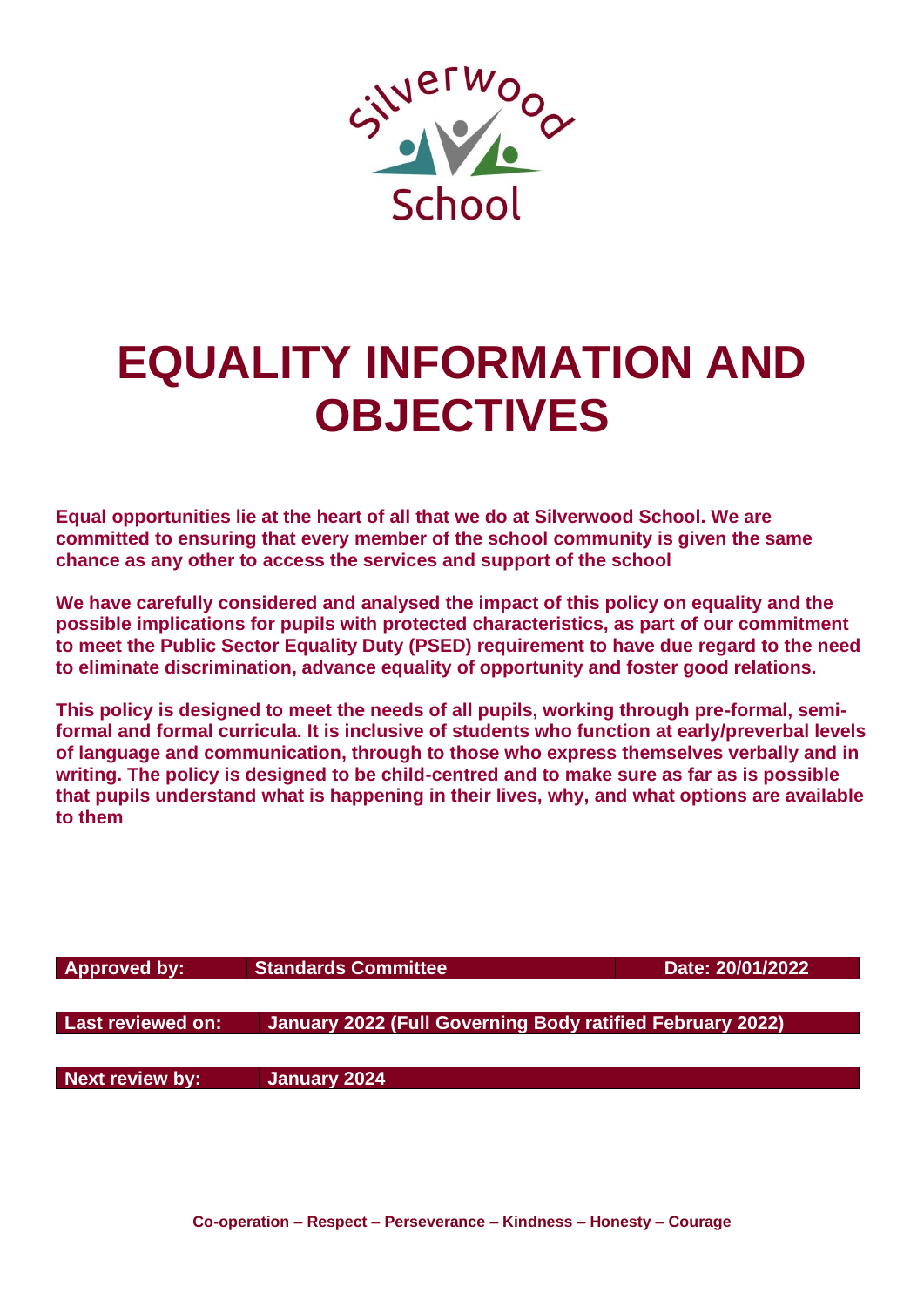

# **EQUALITY INFORMATION AND OBJECTIVES**

**Equal opportunities lie at the heart of all that we do at Silverwood School. We are committed to ensuring that every member of the school community is given the same chance as any other to access the services and support of the school**

**We have carefully considered and analysed the impact of this policy on equality and the possible implications for pupils with protected characteristics, as part of our commitment to meet the Public Sector Equality Duty (PSED) requirement to have due regard to the need to eliminate discrimination, advance equality of opportunity and foster good relations.**

**This policy is designed to meet the needs of all pupils, working through pre-formal, semiformal and formal curricula. It is inclusive of students who function at early/preverbal levels of language and communication, through to those who express themselves verbally and in writing. The policy is designed to be child-centred and to make sure as far as is possible that pupils understand what is happening in their lives, why, and what options are available to them**

| <b>Approved by:</b>      | <b>Standards Committee</b>                                | Date: 20/01/2022 |
|--------------------------|-----------------------------------------------------------|------------------|
| <b>Last reviewed on:</b> | January 2022 (Full Governing Body ratified February 2022) |                  |
| <b>Next review by:</b>   | January 2024                                              |                  |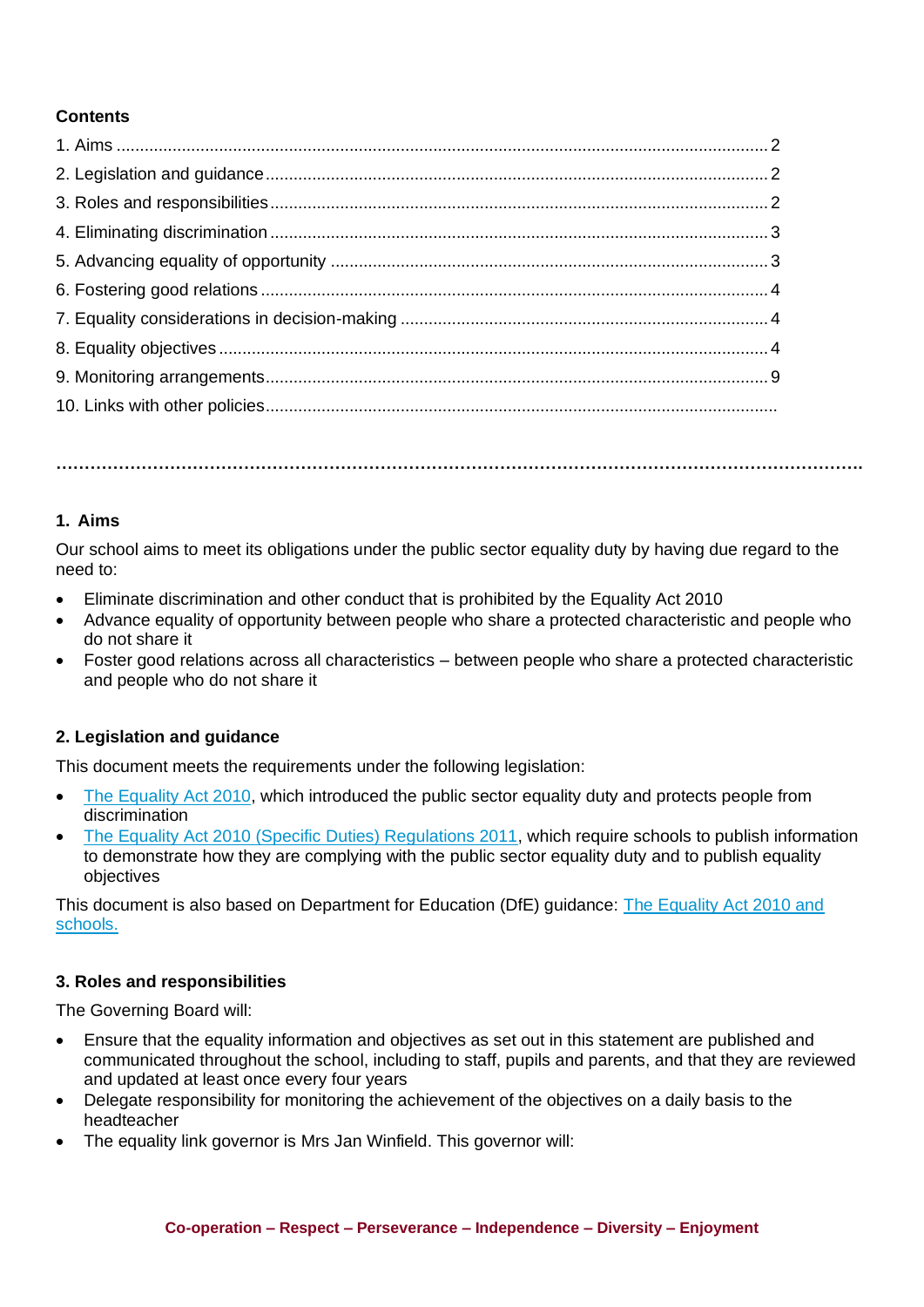# **Contents**

## **1. Aims**

Our school aims to meet its obligations under the public sector equality duty by having due regard to the need to:

**…………………………………………………………………………………………………………………………….**

- Eliminate discrimination and other conduct that is prohibited by the Equality Act 2010
- Advance equality of opportunity between people who share a protected characteristic and people who do not share it
- Foster good relations across all characteristics between people who share a protected characteristic and people who do not share it

# **2. Legislation and guidance**

This document meets the requirements under the following legislation:

- [The Equality Act 2010,](http://www.legislation.gov.uk/ukpga/2010/15/contents) which introduced the public sector equality duty and protects people from discrimination
- [The Equality Act 2010 \(Specific Duties\) Regulations 2011,](http://www.legislation.gov.uk/uksi/2011/2260/contents/made) which require schools to publish information to demonstrate how they are complying with the public sector equality duty and to publish equality objectives

This document is also based on Department for Education (DfE) guidance: [The Equality Act 2010 and](https://www.gov.uk/government/uploads/system/uploads/attachment_data/file/315587/Equality_Act_Advice_Final.pdf)  schools.

# **3. Roles and responsibilities**

The Governing Board will:

- Ensure that the equality information and objectives as set out in this statement are published and communicated throughout the school, including to staff, pupils and parents, and that they are reviewed and updated at least once every four years
- Delegate responsibility for monitoring the achievement of the objectives on a daily basis to the headteacher
- The equality link governor is Mrs Jan Winfield. This governor will: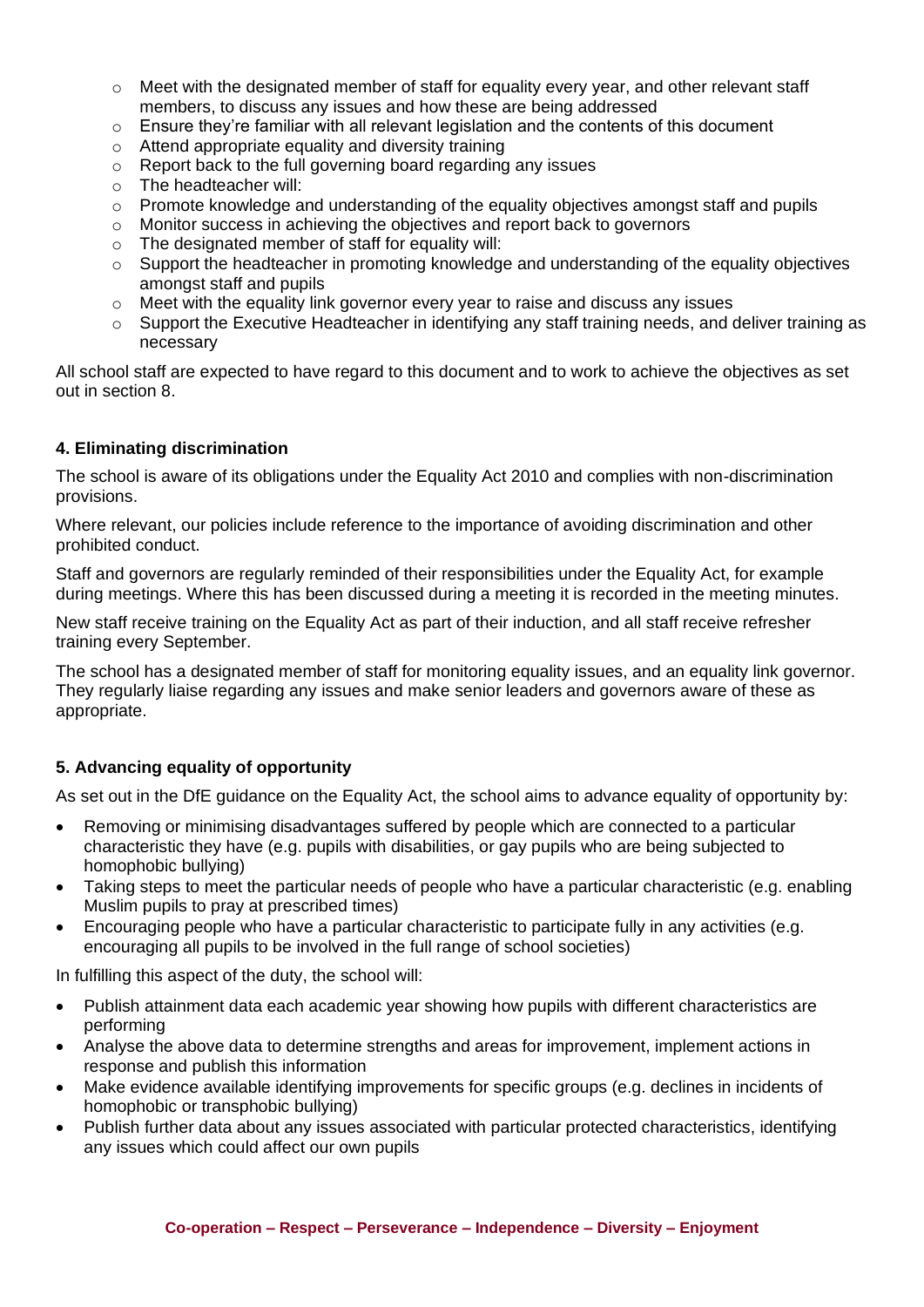- $\circ$  Meet with the designated member of staff for equality every year, and other relevant staff members, to discuss any issues and how these are being addressed
- $\circ$  Ensure they're familiar with all relevant legislation and the contents of this document
- o Attend appropriate equality and diversity training
- o Report back to the full governing board regarding any issues
- o The headteacher will:
- $\circ$  Promote knowledge and understanding of the equality objectives amongst staff and pupils
- o Monitor success in achieving the objectives and report back to governors
- $\circ$  The designated member of staff for equality will:
- $\circ$  Support the headteacher in promoting knowledge and understanding of the equality objectives amongst staff and pupils
- $\circ$  Meet with the equality link governor every year to raise and discuss any issues
- $\circ$  Support the Executive Headteacher in identifying any staff training needs, and deliver training as necessary

All school staff are expected to have regard to this document and to work to achieve the objectives as set out in section 8.

# **4. Eliminating discrimination**

The school is aware of its obligations under the Equality Act 2010 and complies with non-discrimination provisions.

Where relevant, our policies include reference to the importance of avoiding discrimination and other prohibited conduct.

Staff and governors are regularly reminded of their responsibilities under the Equality Act, for example during meetings. Where this has been discussed during a meeting it is recorded in the meeting minutes.

New staff receive training on the Equality Act as part of their induction, and all staff receive refresher training every September.

The school has a designated member of staff for monitoring equality issues, and an equality link governor. They regularly liaise regarding any issues and make senior leaders and governors aware of these as appropriate.

# **5. Advancing equality of opportunity**

As set out in the DfE guidance on the Equality Act, the school aims to advance equality of opportunity by:

- Removing or minimising disadvantages suffered by people which are connected to a particular characteristic they have (e.g. pupils with disabilities, or gay pupils who are being subjected to homophobic bullying)
- Taking steps to meet the particular needs of people who have a particular characteristic (e.g. enabling Muslim pupils to pray at prescribed times)
- Encouraging people who have a particular characteristic to participate fully in any activities (e.g. encouraging all pupils to be involved in the full range of school societies)

In fulfilling this aspect of the duty, the school will:

- Publish attainment data each academic year showing how pupils with different characteristics are performing
- Analyse the above data to determine strengths and areas for improvement, implement actions in response and publish this information
- Make evidence available identifying improvements for specific groups (e.g. declines in incidents of homophobic or transphobic bullying)
- Publish further data about any issues associated with particular protected characteristics, identifying any issues which could affect our own pupils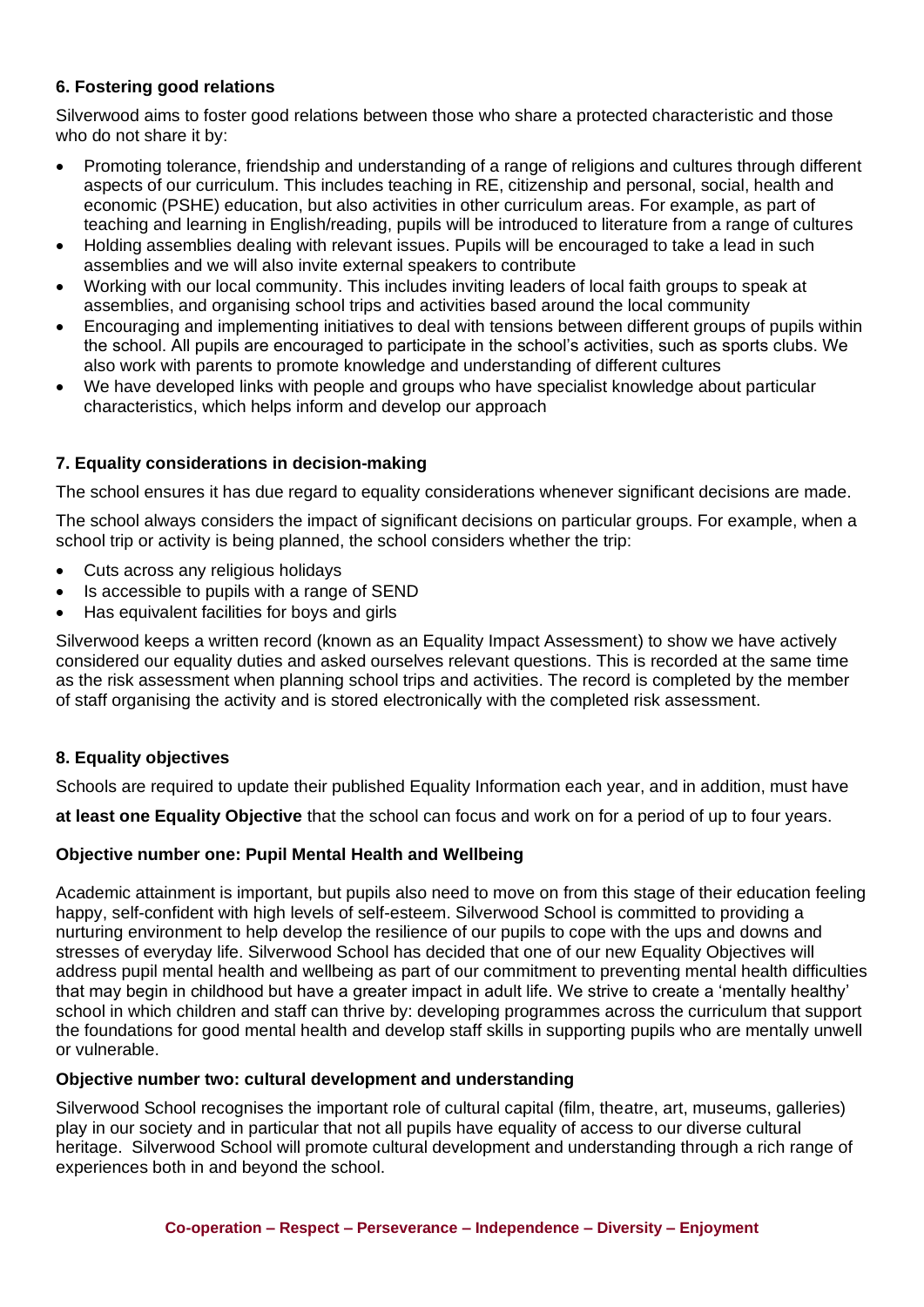# **6. Fostering good relations**

Silverwood aims to foster good relations between those who share a protected characteristic and those who do not share it by:

- Promoting tolerance, friendship and understanding of a range of religions and cultures through different aspects of our curriculum. This includes teaching in RE, citizenship and personal, social, health and economic (PSHE) education, but also activities in other curriculum areas. For example, as part of teaching and learning in English/reading, pupils will be introduced to literature from a range of cultures
- Holding assemblies dealing with relevant issues. Pupils will be encouraged to take a lead in such assemblies and we will also invite external speakers to contribute
- Working with our local community. This includes inviting leaders of local faith groups to speak at assemblies, and organising school trips and activities based around the local community
- Encouraging and implementing initiatives to deal with tensions between different groups of pupils within the school. All pupils are encouraged to participate in the school's activities, such as sports clubs. We also work with parents to promote knowledge and understanding of different cultures
- We have developed links with people and groups who have specialist knowledge about particular characteristics, which helps inform and develop our approach

# **7. Equality considerations in decision-making**

The school ensures it has due regard to equality considerations whenever significant decisions are made.

The school always considers the impact of significant decisions on particular groups. For example, when a school trip or activity is being planned, the school considers whether the trip:

- Cuts across any religious holidays
- Is accessible to pupils with a range of SEND
- Has equivalent facilities for boys and girls

Silverwood keeps a written record (known as an Equality Impact Assessment) to show we have actively considered our equality duties and asked ourselves relevant questions. This is recorded at the same time as the risk assessment when planning school trips and activities. The record is completed by the member of staff organising the activity and is stored electronically with the completed risk assessment.

# **8. Equality objectives**

Schools are required to update their published Equality Information each year, and in addition, must have

**at least one Equality Objective** that the school can focus and work on for a period of up to four years.

#### **Objective number one: Pupil Mental Health and Wellbeing**

Academic attainment is important, but pupils also need to move on from this stage of their education feeling happy, self-confident with high levels of self-esteem. Silverwood School is committed to providing a nurturing environment to help develop the resilience of our pupils to cope with the ups and downs and stresses of everyday life. Silverwood School has decided that one of our new Equality Objectives will address pupil mental health and wellbeing as part of our commitment to preventing mental health difficulties that may begin in childhood but have a greater impact in adult life. We strive to create a 'mentally healthy' school in which children and staff can thrive by: developing programmes across the curriculum that support the foundations for good mental health and develop staff skills in supporting pupils who are mentally unwell or vulnerable.

#### **Objective number two: cultural development and understanding**

Silverwood School recognises the important role of cultural capital (film, theatre, art, museums, galleries) play in our society and in particular that not all pupils have equality of access to our diverse cultural heritage. Silverwood School will promote cultural development and understanding through a rich range of experiences both in and beyond the school.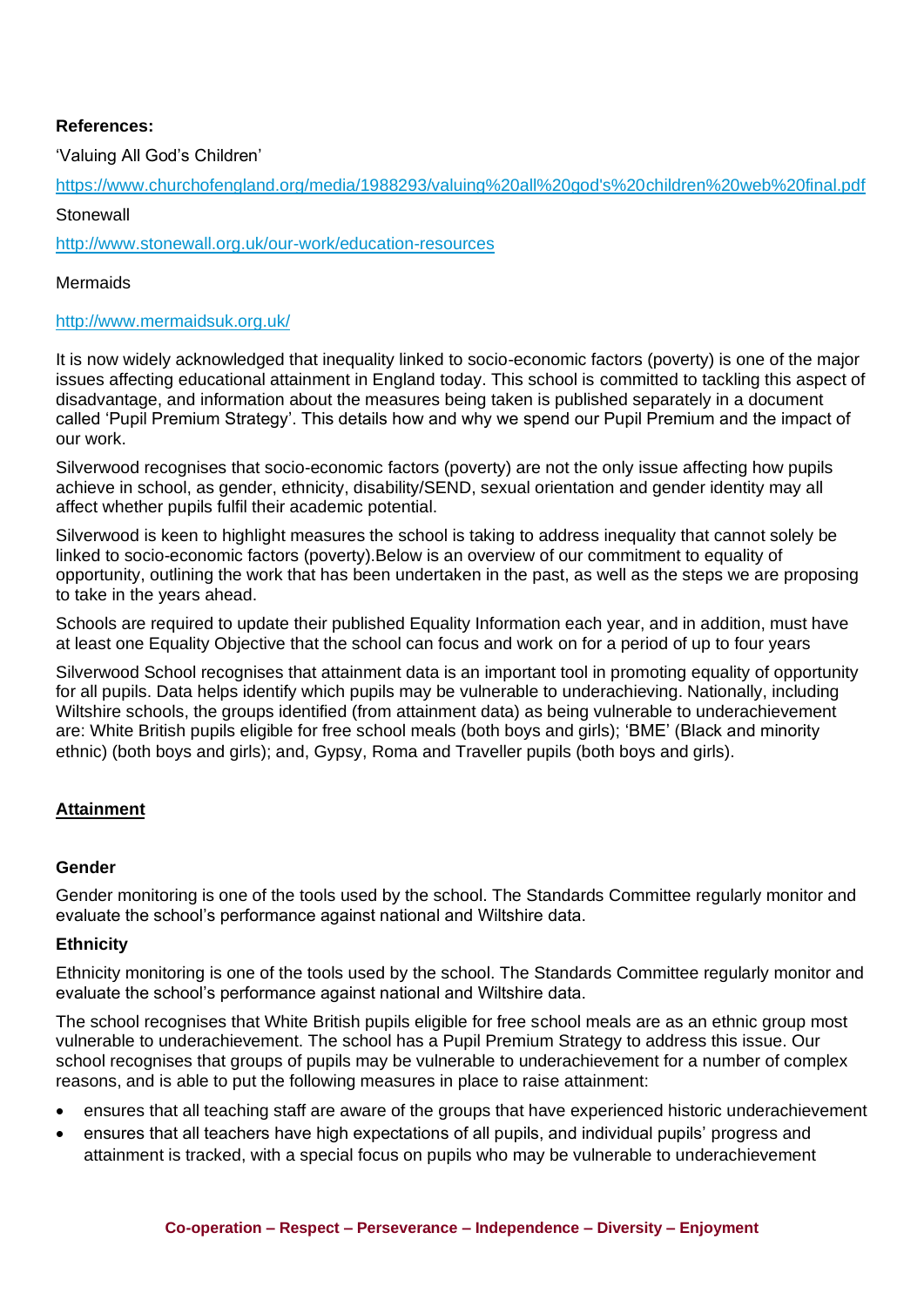## **References:**

'Valuing All God's Children'

[https://www.churchofengland.org/media/1988293/valuing%20all%20god's%20children%20web%20final.pdf](https://www.churchofengland.org/media/1988293/valuing%20all%20god)

**Stonewall** 

<http://www.stonewall.org.uk/our-work/education-resources>

#### Mermaids

#### <http://www.mermaidsuk.org.uk/>

It is now widely acknowledged that inequality linked to socio-economic factors (poverty) is one of the major issues affecting educational attainment in England today. This school is committed to tackling this aspect of disadvantage, and information about the measures being taken is published separately in a document called 'Pupil Premium Strategy'. This details how and why we spend our Pupil Premium and the impact of our work.

Silverwood recognises that socio-economic factors (poverty) are not the only issue affecting how pupils achieve in school, as gender, ethnicity, disability/SEND, sexual orientation and gender identity may all affect whether pupils fulfil their academic potential.

Silverwood is keen to highlight measures the school is taking to address inequality that cannot solely be linked to socio-economic factors (poverty).Below is an overview of our commitment to equality of opportunity, outlining the work that has been undertaken in the past, as well as the steps we are proposing to take in the years ahead.

Schools are required to update their published Equality Information each year, and in addition, must have at least one Equality Objective that the school can focus and work on for a period of up to four years

Silverwood School recognises that attainment data is an important tool in promoting equality of opportunity for all pupils. Data helps identify which pupils may be vulnerable to underachieving. Nationally, including Wiltshire schools, the groups identified (from attainment data) as being vulnerable to underachievement are: White British pupils eligible for free school meals (both boys and girls); 'BME' (Black and minority ethnic) (both boys and girls); and, Gypsy, Roma and Traveller pupils (both boys and girls).

# **Attainment**

#### **Gender**

Gender monitoring is one of the tools used by the school. The Standards Committee regularly monitor and evaluate the school's performance against national and Wiltshire data.

#### **Ethnicity**

Ethnicity monitoring is one of the tools used by the school. The Standards Committee regularly monitor and evaluate the school's performance against national and Wiltshire data.

The school recognises that White British pupils eligible for free school meals are as an ethnic group most vulnerable to underachievement. The school has a Pupil Premium Strategy to address this issue. Our school recognises that groups of pupils may be vulnerable to underachievement for a number of complex reasons, and is able to put the following measures in place to raise attainment:

- ensures that all teaching staff are aware of the groups that have experienced historic underachievement
- ensures that all teachers have high expectations of all pupils, and individual pupils' progress and attainment is tracked, with a special focus on pupils who may be vulnerable to underachievement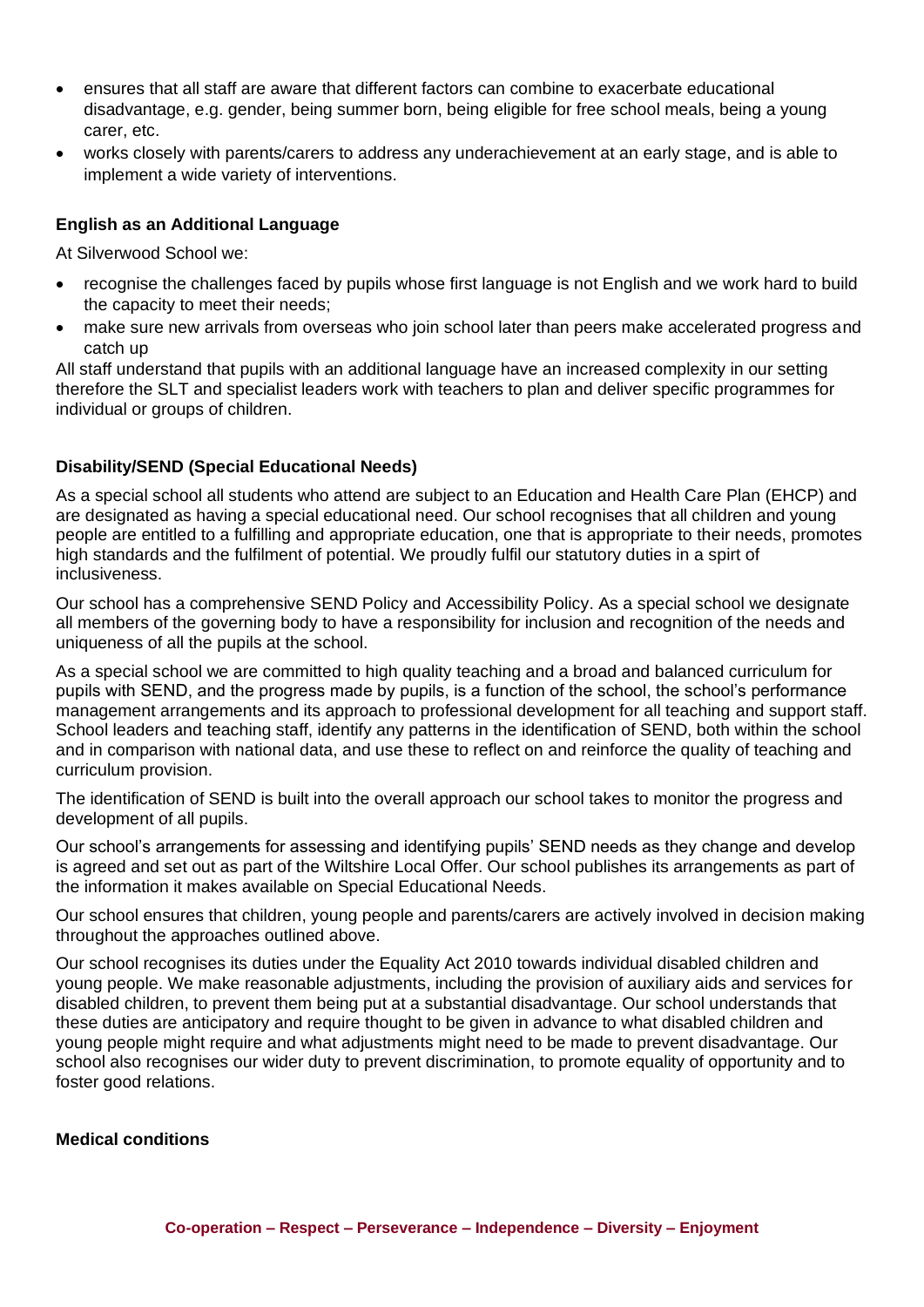- ensures that all staff are aware that different factors can combine to exacerbate educational disadvantage, e.g. gender, being summer born, being eligible for free school meals, being a young carer, etc.
- works closely with parents/carers to address any underachievement at an early stage, and is able to implement a wide variety of interventions.

## **English as an Additional Language**

At Silverwood School we:

- recognise the challenges faced by pupils whose first language is not English and we work hard to build the capacity to meet their needs;
- make sure new arrivals from overseas who join school later than peers make accelerated progress and catch up

All staff understand that pupils with an additional language have an increased complexity in our setting therefore the SLT and specialist leaders work with teachers to plan and deliver specific programmes for individual or groups of children.

## **Disability/SEND (Special Educational Needs)**

As a special school all students who attend are subject to an Education and Health Care Plan (EHCP) and are designated as having a special educational need. Our school recognises that all children and young people are entitled to a fulfilling and appropriate education, one that is appropriate to their needs, promotes high standards and the fulfilment of potential. We proudly fulfil our statutory duties in a spirt of inclusiveness.

Our school has a comprehensive SEND Policy and Accessibility Policy. As a special school we designate all members of the governing body to have a responsibility for inclusion and recognition of the needs and uniqueness of all the pupils at the school.

As a special school we are committed to high quality teaching and a broad and balanced curriculum for pupils with SEND, and the progress made by pupils, is a function of the school, the school's performance management arrangements and its approach to professional development for all teaching and support staff. School leaders and teaching staff, identify any patterns in the identification of SEND, both within the school and in comparison with national data, and use these to reflect on and reinforce the quality of teaching and curriculum provision.

The identification of SEND is built into the overall approach our school takes to monitor the progress and development of all pupils.

Our school's arrangements for assessing and identifying pupils' SEND needs as they change and develop is agreed and set out as part of the Wiltshire Local Offer. Our school publishes its arrangements as part of the information it makes available on Special Educational Needs.

Our school ensures that children, young people and parents/carers are actively involved in decision making throughout the approaches outlined above.

Our school recognises its duties under the Equality Act 2010 towards individual disabled children and young people. We make reasonable adjustments, including the provision of auxiliary aids and services for disabled children, to prevent them being put at a substantial disadvantage. Our school understands that these duties are anticipatory and require thought to be given in advance to what disabled children and young people might require and what adjustments might need to be made to prevent disadvantage. Our school also recognises our wider duty to prevent discrimination, to promote equality of opportunity and to foster good relations.

#### **Medical conditions**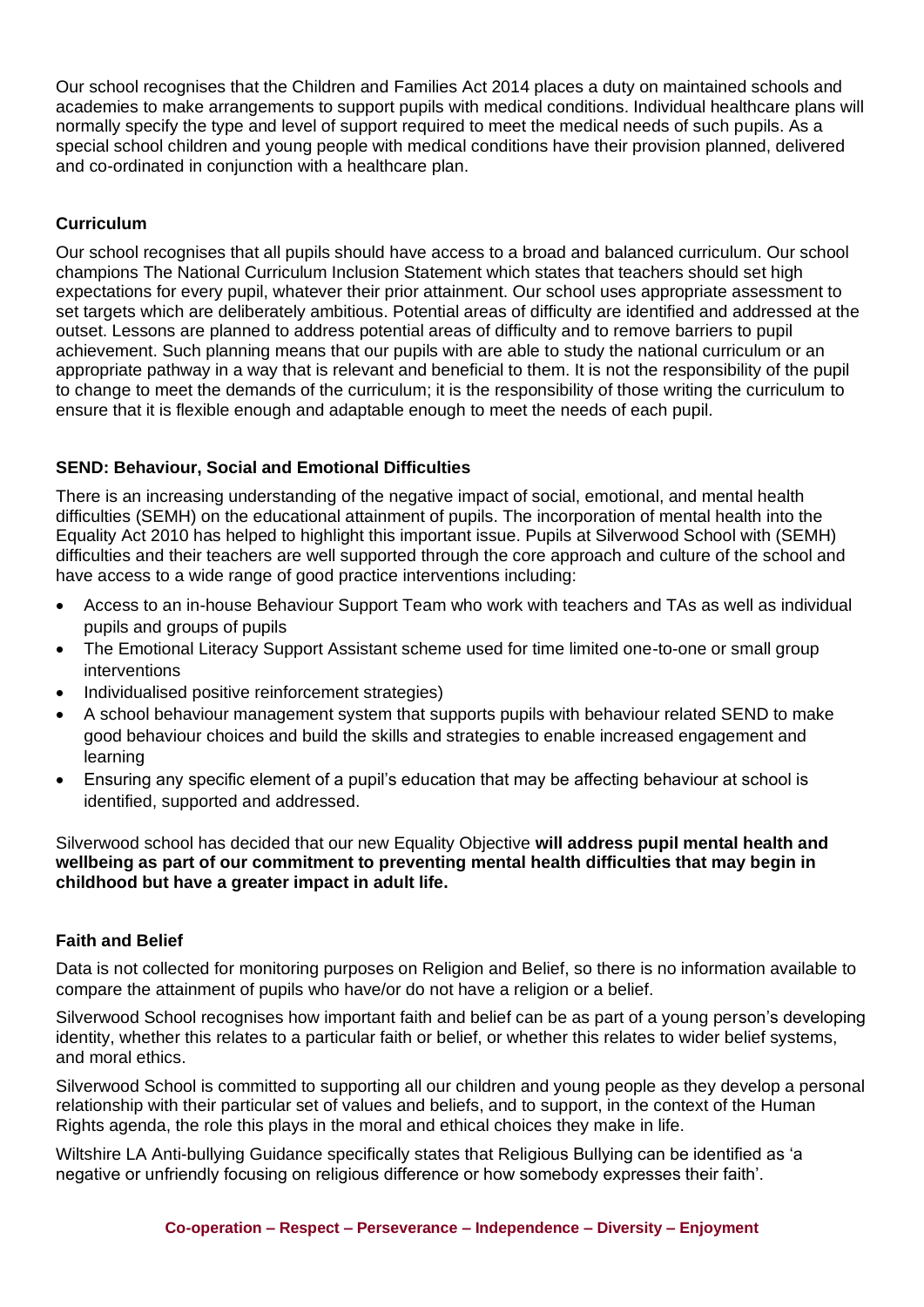Our school recognises that the Children and Families Act 2014 places a duty on maintained schools and academies to make arrangements to support pupils with medical conditions. Individual healthcare plans will normally specify the type and level of support required to meet the medical needs of such pupils. As a special school children and young people with medical conditions have their provision planned, delivered and co-ordinated in conjunction with a healthcare plan.

## **Curriculum**

Our school recognises that all pupils should have access to a broad and balanced curriculum. Our school champions The National Curriculum Inclusion Statement which states that teachers should set high expectations for every pupil, whatever their prior attainment. Our school uses appropriate assessment to set targets which are deliberately ambitious. Potential areas of difficulty are identified and addressed at the outset. Lessons are planned to address potential areas of difficulty and to remove barriers to pupil achievement. Such planning means that our pupils with are able to study the national curriculum or an appropriate pathway in a way that is relevant and beneficial to them. It is not the responsibility of the pupil to change to meet the demands of the curriculum; it is the responsibility of those writing the curriculum to ensure that it is flexible enough and adaptable enough to meet the needs of each pupil.

## **SEND: Behaviour, Social and Emotional Difficulties**

There is an increasing understanding of the negative impact of social, emotional, and mental health difficulties (SEMH) on the educational attainment of pupils. The incorporation of mental health into the Equality Act 2010 has helped to highlight this important issue. Pupils at Silverwood School with (SEMH) difficulties and their teachers are well supported through the core approach and culture of the school and have access to a wide range of good practice interventions including:

- Access to an in-house Behaviour Support Team who work with teachers and TAs as well as individual pupils and groups of pupils
- The Emotional Literacy Support Assistant scheme used for time limited one-to-one or small group interventions
- Individualised positive reinforcement strategies)
- A school behaviour management system that supports pupils with behaviour related SEND to make good behaviour choices and build the skills and strategies to enable increased engagement and learning
- Ensuring any specific element of a pupil's education that may be affecting behaviour at school is identified, supported and addressed.

Silverwood school has decided that our new Equality Objective **will address pupil mental health and wellbeing as part of our commitment to preventing mental health difficulties that may begin in childhood but have a greater impact in adult life.**

#### **Faith and Belief**

Data is not collected for monitoring purposes on Religion and Belief, so there is no information available to compare the attainment of pupils who have/or do not have a religion or a belief.

Silverwood School recognises how important faith and belief can be as part of a young person's developing identity, whether this relates to a particular faith or belief, or whether this relates to wider belief systems, and moral ethics.

Silverwood School is committed to supporting all our children and young people as they develop a personal relationship with their particular set of values and beliefs, and to support, in the context of the Human Rights agenda, the role this plays in the moral and ethical choices they make in life.

Wiltshire LA Anti-bullying Guidance specifically states that Religious Bullying can be identified as 'a negative or unfriendly focusing on religious difference or how somebody expresses their faith'.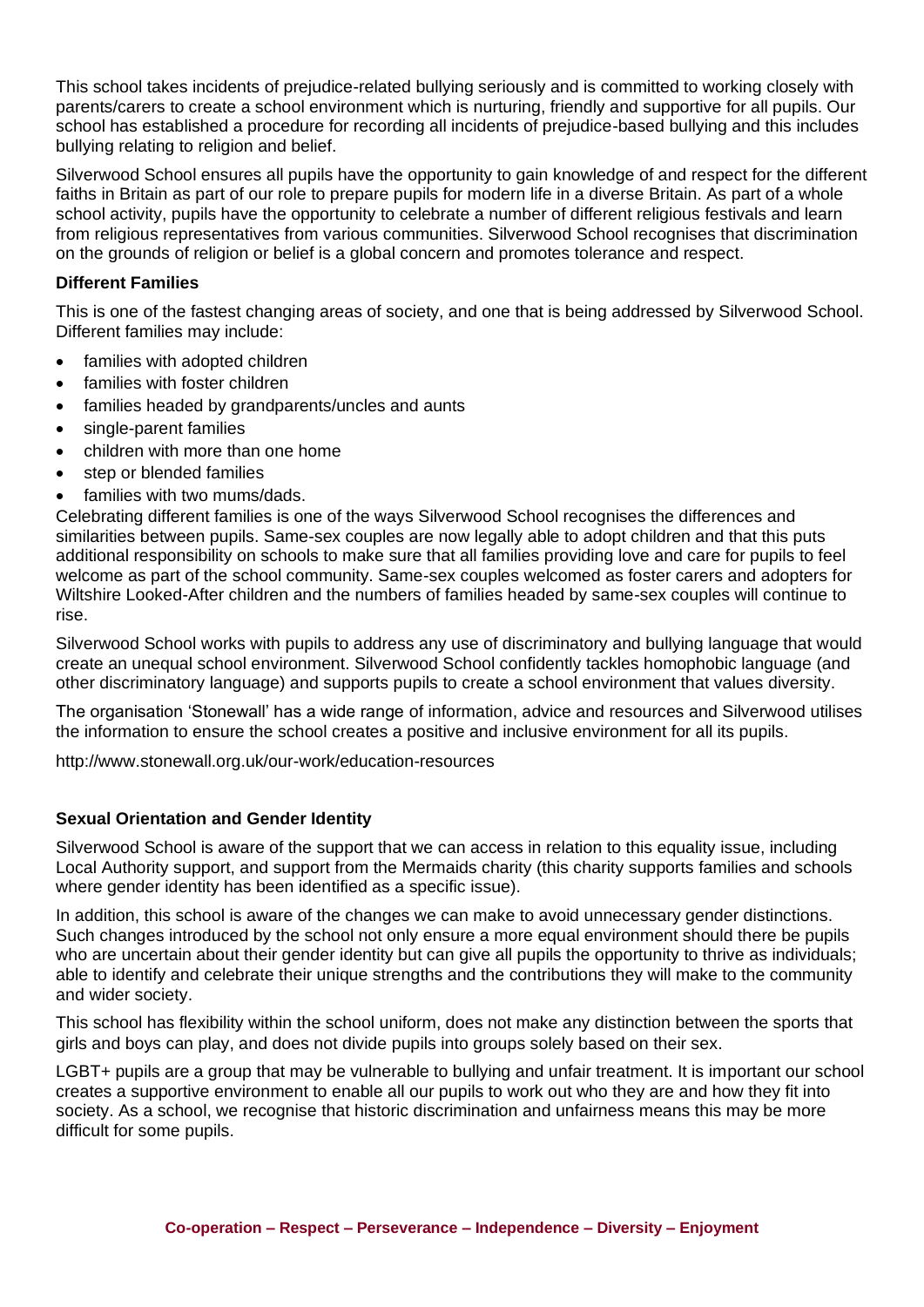This school takes incidents of prejudice-related bullying seriously and is committed to working closely with parents/carers to create a school environment which is nurturing, friendly and supportive for all pupils. Our school has established a procedure for recording all incidents of prejudice-based bullying and this includes bullying relating to religion and belief.

Silverwood School ensures all pupils have the opportunity to gain knowledge of and respect for the different faiths in Britain as part of our role to prepare pupils for modern life in a diverse Britain. As part of a whole school activity, pupils have the opportunity to celebrate a number of different religious festivals and learn from religious representatives from various communities. Silverwood School recognises that discrimination on the grounds of religion or belief is a global concern and promotes tolerance and respect.

## **Different Families**

This is one of the fastest changing areas of society, and one that is being addressed by Silverwood School. Different families may include:

- families with adopted children
- families with foster children
- families headed by grandparents/uncles and aunts
- single-parent families
- children with more than one home
- step or blended families
- families with two mums/dads.

Celebrating different families is one of the ways Silverwood School recognises the differences and similarities between pupils. Same-sex couples are now legally able to adopt children and that this puts additional responsibility on schools to make sure that all families providing love and care for pupils to feel welcome as part of the school community. Same-sex couples welcomed as foster carers and adopters for Wiltshire Looked-After children and the numbers of families headed by same-sex couples will continue to rise.

Silverwood School works with pupils to address any use of discriminatory and bullying language that would create an unequal school environment. Silverwood School confidently tackles homophobic language (and other discriminatory language) and supports pupils to create a school environment that values diversity.

The organisation 'Stonewall' has a wide range of information, advice and resources and Silverwood utilises the information to ensure the school creates a positive and inclusive environment for all its pupils.

http://www.stonewall.org.uk/our-work/education-resources

#### **Sexual Orientation and Gender Identity**

Silverwood School is aware of the support that we can access in relation to this equality issue, including Local Authority support, and support from the Mermaids charity (this charity supports families and schools where gender identity has been identified as a specific issue).

In addition, this school is aware of the changes we can make to avoid unnecessary gender distinctions. Such changes introduced by the school not only ensure a more equal environment should there be pupils who are uncertain about their gender identity but can give all pupils the opportunity to thrive as individuals; able to identify and celebrate their unique strengths and the contributions they will make to the community and wider society.

This school has flexibility within the school uniform, does not make any distinction between the sports that girls and boys can play, and does not divide pupils into groups solely based on their sex.

LGBT+ pupils are a group that may be vulnerable to bullying and unfair treatment. It is important our school creates a supportive environment to enable all our pupils to work out who they are and how they fit into society. As a school, we recognise that historic discrimination and unfairness means this may be more difficult for some pupils.